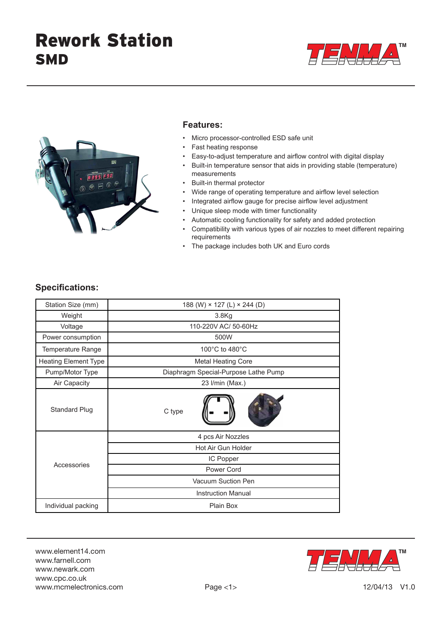



#### **Features:**

- Micro processor-controlled ESD safe unit
- Fast heating response
- Easy-to-adjust temperature and airflow control with digital display
- Built-in temperature sensor that aids in providing stable (temperature) measurements
- Built-in thermal protector
- Wide range of operating temperature and airflow level selection
- Integrated airflow gauge for precise airflow level adjustment
- Unique sleep mode with timer functionality
- Automatic cooling functionality for safety and added protection
- Compatibility with various types of air nozzles to meet different repairing requirements
- The package includes both UK and Euro cords

### **Specifications:**

| Station Size (mm)           | 188 (W) × 127 (L) × 244 (D)          |  |
|-----------------------------|--------------------------------------|--|
| Weight                      | 3.8Kg                                |  |
| Voltage                     | 110-220V AC/ 50-60Hz                 |  |
| Power consumption           | 500W                                 |  |
| Temperature Range           | 100 $\degree$ C to 480 $\degree$ C   |  |
| <b>Heating Element Type</b> | <b>Metal Heating Core</b>            |  |
| Pump/Motor Type             | Diaphragm Special-Purpose Lathe Pump |  |
| Air Capacity                | 23 I/min (Max.)                      |  |
| <b>Standard Plug</b>        | C type                               |  |
| Accessories                 | 4 pcs Air Nozzles                    |  |
|                             | Hot Air Gun Holder                   |  |
|                             | IC Popper                            |  |
|                             | Power Cord                           |  |
|                             | Vacuum Suction Pen                   |  |
|                             | <b>Instruction Manual</b>            |  |
| Individual packing          | Plain Box                            |  |

www.element14.com www.farnell.com www.newark.com www.cpc.co.uk www.mcmelectronics.com

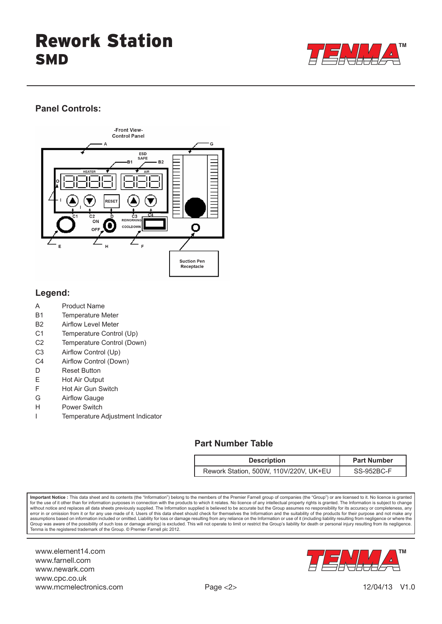

## **Panel Controls:**



## **Legend:**

- A Product Name
- B1 Temperature Meter
- B2 Airflow Level Meter
- C1 Temperature Control (Up)
- C2 Temperature Control (Down)
- C3 Airflow Control (Up)
- C4 Airflow Control (Down)
- D Reset Button
- E Hot Air Output
- F Hot Air Gun Switch
- G Airflow Gauge
- H Power Switch
- I Temperature Adjustment Indicator

## **Part Number Table**

| <b>Description</b>                     | <b>Part Number</b> |
|----------------------------------------|--------------------|
| Rework Station, 500W, 110V/220V, UK+EU | SS-952BC-F         |

**Important Notice :** This data sheet and its contents (the "Information") belong to the members of the Premier Farnell group of companies (the "Group") or are licensed to it. No licence is granted for the use of it other than for information purposes in connection with the products to which it relates. No licence of any intellectual property rights is granted. The Information is subject to change<br>without notice and error in or omission from it or for any use made of it. Users of this data sheet should check for themselves the Information and the suitability of the products for their purpose and not make any or the products for their assumptions based on information included or omitted. Liability for loss or damage resulting from any reliance on the Information or use of it (including liability resulting from negligence or where the<br>Group was aware of Tenma is the registered trademark of the Group. © Premier Farnell plc 2012.

www.element14.com www.farnell.com www.newark.com www.cpc.co.uk www.mcmelectronics.com